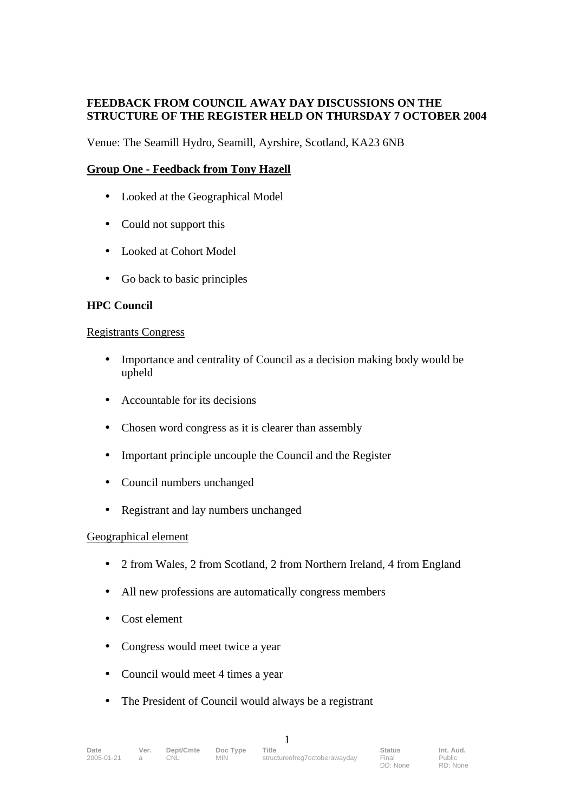## **FEEDBACK FROM COUNCIL AWAY DAY DISCUSSIONS ON THE STRUCTURE OF THE REGISTER HELD ON THURSDAY 7 OCTOBER 2004**

Venue: The Seamill Hydro, Seamill, Ayrshire, Scotland, KA23 6NB

### **Group One - Feedback from Tony Hazell**

- Looked at the Geographical Model
- Could not support this
- Looked at Cohort Model
- Go back to basic principles

### **HPC Council**

#### Registrants Congress

- Importance and centrality of Council as a decision making body would be upheld
- Accountable for its decisions
- Chosen word congress as it is clearer than assembly
- Important principle uncouple the Council and the Register
- Council numbers unchanged
- Registrant and lay numbers unchanged

### Geographical element

- 2 from Wales, 2 from Scotland, 2 from Northern Ireland, 4 from England
- All new professions are automatically congress members
- Cost element
- Congress would meet twice a year
- Council would meet 4 times a year
- The President of Council would always be a registrant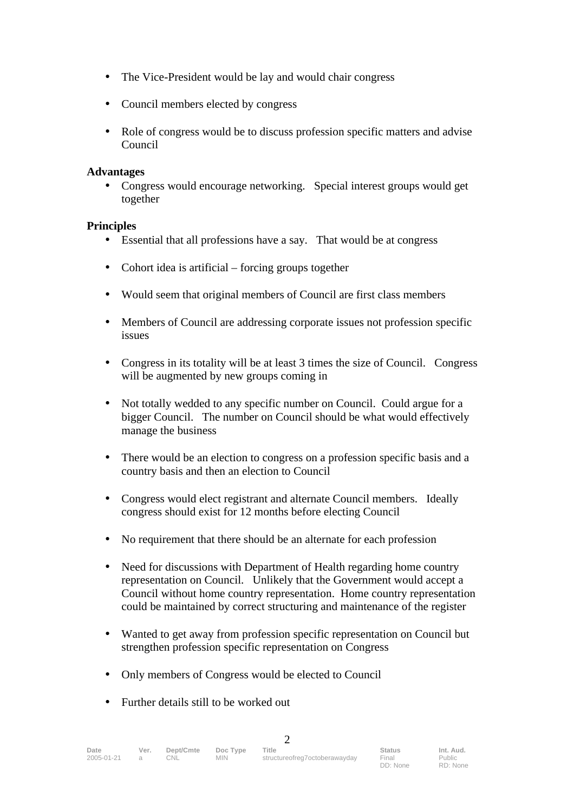- The Vice-President would be lay and would chair congress
- Council members elected by congress
- Role of congress would be to discuss profession specific matters and advise Council

### **Advantages**

• Congress would encourage networking. Special interest groups would get together

### **Principles**

- Essential that all professions have a say. That would be at congress
- Cohort idea is artificial forcing groups together
- Would seem that original members of Council are first class members
- Members of Council are addressing corporate issues not profession specific issues
- Congress in its totality will be at least 3 times the size of Council. Congress will be augmented by new groups coming in
- Not totally wedded to any specific number on Council. Could argue for a bigger Council. The number on Council should be what would effectively manage the business
- There would be an election to congress on a profession specific basis and a country basis and then an election to Council
- Congress would elect registrant and alternate Council members. Ideally congress should exist for 12 months before electing Council
- No requirement that there should be an alternate for each profession
- Need for discussions with Department of Health regarding home country representation on Council. Unlikely that the Government would accept a Council without home country representation. Home country representation could be maintained by correct structuring and maintenance of the register
- Wanted to get away from profession specific representation on Council but strengthen profession specific representation on Congress
- Only members of Congress would be elected to Council
- Further details still to be worked out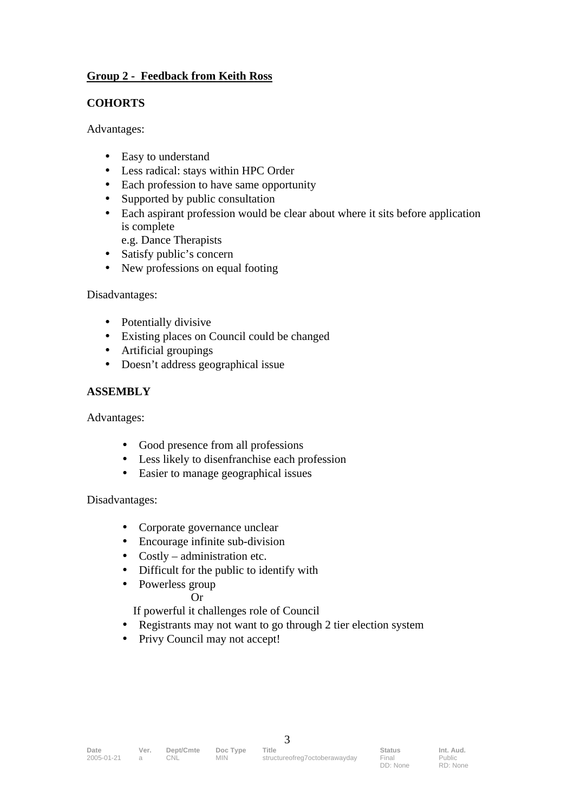# **Group 2 - Feedback from Keith Ross**

## **COHORTS**

Advantages:

- Easy to understand
- Less radical: stays within HPC Order
- Each profession to have same opportunity
- Supported by public consultation
- Each aspirant profession would be clear about where it sits before application is complete
	- e.g. Dance Therapists
- Satisfy public's concern
- New professions on equal footing

Disadvantages:

- Potentially divisive
- Existing places on Council could be changed
- Artificial groupings
- Doesn't address geographical issue

## **ASSEMBLY**

Advantages:

- Good presence from all professions
- Less likely to disenfranchise each profession
- Easier to manage geographical issues

### Disadvantages:

- Corporate governance unclear
- Encourage infinite sub-division
- Costly administration etc.
- Difficult for the public to identify with
- Powerless group

### Or

If powerful it challenges role of Council

- Registrants may not want to go through 2 tier election system
- Privy Council may not accept!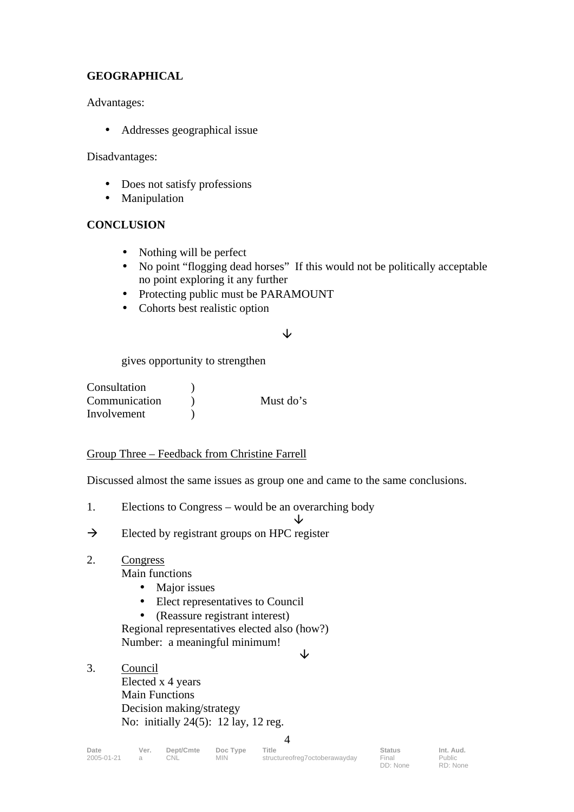# **GEOGRAPHICAL**

Advantages:

• Addresses geographical issue

Disadvantages:

- Does not satisfy professions
- Manipulation

# **CONCLUSION**

- Nothing will be perfect
- No point "flogging dead horses" If this would not be politically acceptable no point exploring it any further
- Protecting public must be PARAMOUNT
- Cohorts best realistic option

### $\overline{\mathcal{L}}$

gives opportunity to strengthen

| Consultation  |           |
|---------------|-----------|
| Communication | Must do's |
| Involvement   |           |

# Group Three – Feedback from Christine Farrell

Discussed almost the same issues as group one and came to the same conclusions.

1. Elections to Congress – would be an overarching body

 $\downarrow$ 

 $\rightarrow$  Elected by registrant groups on HPC register

# 2. Congress

Main functions

- Major issues
- Elect representatives to Council
- (Reassure registrant interest)

Regional representatives elected also (how?) Number: a meaningful minimum!

- $\downarrow$
- 3. Council Elected x 4 years Main Functions Decision making/strategy No: initially 24(5): 12 lay, 12 reg.

**Date Ver. Dept/Cmte Doc Type Title Status Int. Aud.** 2005-01-21 a CNL MIN structureofreg7octoberawayday Final 4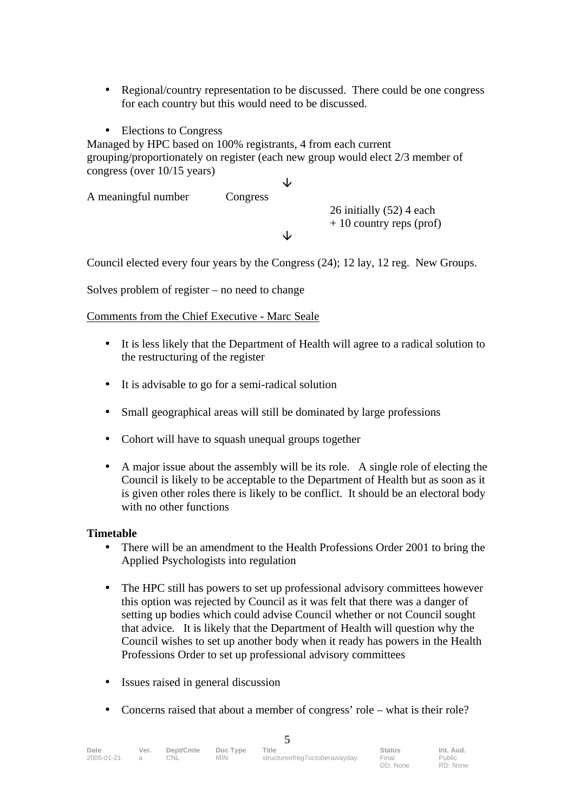- Regional/country representation to be discussed. There could be one congress for each country but this would need to be discussed.
- Elections to Congress

Managed by HPC based on 100% registrants, 4 from each current grouping/proportionately on register (each new group would elect 2/3 member of congress (over 10/15 years)

 $\downarrow$ 

A meaningful number Congress

26 initially (52) 4 each  $+ 10$  country reps (prof)

Council elected every four years by the Congress (24); 12 lay, 12 reg. New Groups.

J

Solves problem of register – no need to change

Comments from the Chief Executive - Marc Seale

- It is less likely that the Department of Health will agree to a radical solution to the restructuring of the register
- It is advisable to go for a semi-radical solution
- Small geographical areas will still be dominated by large professions
- Cohort will have to squash unequal groups together
- A major issue about the assembly will be its role. A single role of electing the Council is likely to be acceptable to the Department of Health but as soon as it is given other roles there is likely to be conflict. It should be an electoral body with no other functions

### **Timetable**

- There will be an amendment to the Health Professions Order 2001 to bring the Applied Psychologists into regulation
- The HPC still has powers to set up professional advisory committees however this option was rejected by Council as it was felt that there was a danger of setting up bodies which could advise Council whether or not Council sought that advice. It is likely that the Department of Health will question why the Council wishes to set up another body when it ready has powers in the Health Professions Order to set up professional advisory committees
- Issues raised in general discussion
- Concerns raised that about a member of congress' role what is their role?

| Date<br>2005-01-21 | Ver.<br>$\triangleright$ | Dept/Cmte<br>CNL | Doc Type<br><b>MIN</b> | Title<br>structureofreg7octoberawayday | <b>Status</b><br>Final<br>DD: None | Int. Aud.<br>Public<br>RD: None |  |  |
|--------------------|--------------------------|------------------|------------------------|----------------------------------------|------------------------------------|---------------------------------|--|--|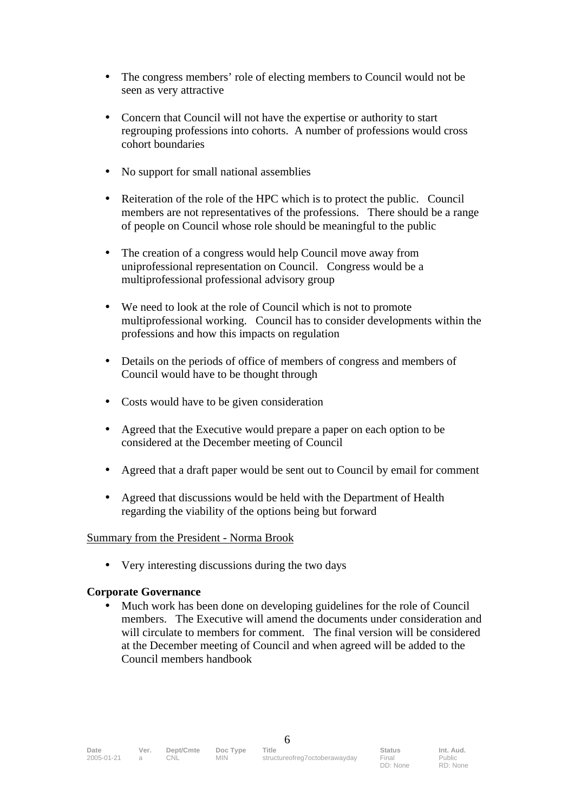- The congress members' role of electing members to Council would not be seen as very attractive
- Concern that Council will not have the expertise or authority to start regrouping professions into cohorts. A number of professions would cross cohort boundaries
- No support for small national assemblies
- Reiteration of the role of the HPC which is to protect the public. Council members are not representatives of the professions. There should be a range of people on Council whose role should be meaningful to the public
- The creation of a congress would help Council move away from uniprofessional representation on Council. Congress would be a multiprofessional professional advisory group
- We need to look at the role of Council which is not to promote multiprofessional working. Council has to consider developments within the professions and how this impacts on regulation
- Details on the periods of office of members of congress and members of Council would have to be thought through
- Costs would have to be given consideration
- Agreed that the Executive would prepare a paper on each option to be considered at the December meeting of Council
- Agreed that a draft paper would be sent out to Council by email for comment
- Agreed that discussions would be held with the Department of Health regarding the viability of the options being but forward

### Summary from the President - Norma Brook

• Very interesting discussions during the two days

### **Corporate Governance**

• Much work has been done on developing guidelines for the role of Council members. The Executive will amend the documents under consideration and will circulate to members for comment. The final version will be considered at the December meeting of Council and when agreed will be added to the Council members handbook